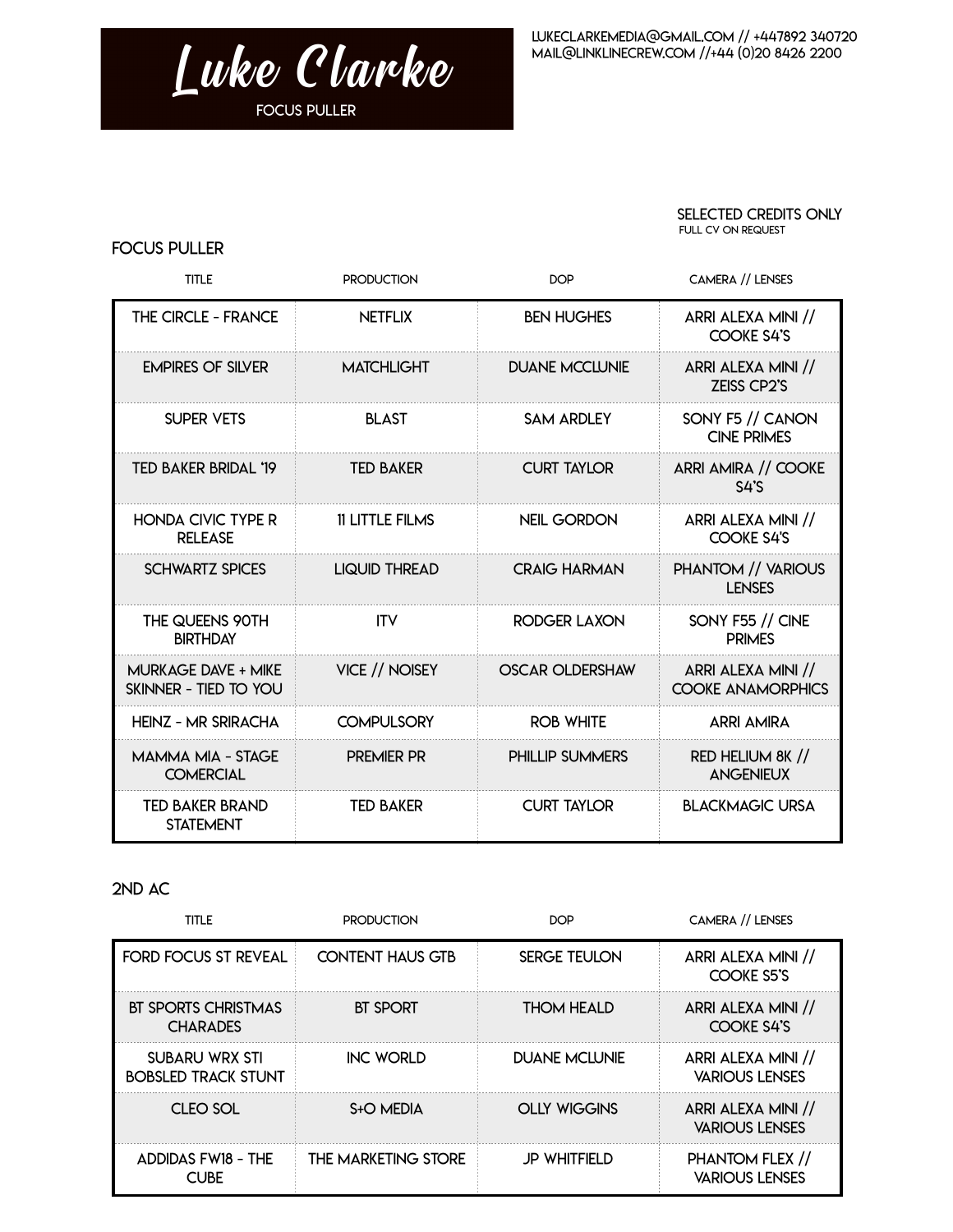

## SELECTED CREDITS ONLY FULL CV on request

## Focus Puller

| <b>TITLE</b>                                        | <b>PRODUCTION</b>      | <b>DOP</b>             | <b>CAMERA // LENSES</b>                        |
|-----------------------------------------------------|------------------------|------------------------|------------------------------------------------|
| THE CIRCLE - FRANCE                                 | <b>NETFLIX</b>         | <b>BEN HUGHES</b>      | ARRI ALEXA MINI //<br>COOKE S4'S               |
| <b>EMPIRES OF SILVER</b>                            | <b>MATCHLIGHT</b>      | <b>DUANE MCCLUNIE</b>  | ARRI ALEXA MINI //<br><b>ZEISS CP2'S</b>       |
| <b>SUPER VETS</b>                                   | <b>BLAST</b>           | <b>SAM ARDLEY</b>      | SONY F5 // CANON<br><b>CINE PRIMES</b>         |
| TED BAKER BRIDAL '19                                | <b>TED BAKER</b>       | <b>CURT TAYLOR</b>     | ARRI AMIRA // COOKE<br>$S4$ 'S                 |
| <b>HONDA CIVIC TYPE R</b><br><b>RELEASE</b>         | <b>11 LITTLE FILMS</b> | <b>NEIL GORDON</b>     | ARRI ALEXA MINI //<br><b>COOKE S4'S</b>        |
| <b>SCHWARTZ SPICES</b>                              | <b>LIQUID THREAD</b>   | <b>CRAIG HARMAN</b>    | PHANTOM // VARIOUS<br><b>LENSES</b>            |
| THE QUEENS 90TH<br><b>BIRTHDAY</b>                  | <b>ITV</b>             | RODGER LAXON           | SONY F55 // CINE<br><b>PRIMES</b>              |
| <b>MURKAGE DAVE + MIKE</b><br>SKINNER - TIED TO YOU | VICE // NOISEY         | <b>OSCAR OLDERSHAW</b> | ARRI ALEXA MINI //<br><b>COOKE ANAMORPHICS</b> |
| <b>HEINZ - MR SRIRACHA</b>                          | <b>COMPULSORY</b>      | <b>ROB WHITE</b>       | <b>ARRI AMIRA</b>                              |
| MAMMA MIA - STAGE<br><b>COMERCIAL</b>               | <b>PREMIER PR</b>      | <b>PHILLIP SUMMERS</b> | RED HELIUM 8K //<br><b>ANGENIEUX</b>           |
| <b>TED BAKER BRAND</b><br><b>STATEMENT</b>          | <b>TED BAKER</b>       | <b>CURT TAYLOR</b>     | <b>BLACKMAGIC URSA</b>                         |

## 2ND AC

| <b>TITLE</b>                                  | <b>PRODUCTION</b>       | <b>DOP</b>           | CAMERA // LENSES                            |
|-----------------------------------------------|-------------------------|----------------------|---------------------------------------------|
| <b>FORD FOCUS ST REVEAL</b>                   | <b>CONTENT HAUS GTB</b> | <b>SERGE TEULON</b>  | ARRI ALEXA MINI //<br>COOKE S5'S            |
| <b>BT SPORTS CHRISTMAS</b><br><b>CHARADES</b> | <b>BT SPORT</b>         | <b>THOM HEALD</b>    | ARRI ALEXA MINI //<br>COOKE S4'S            |
| SUBARU WRX STI<br><b>BOBSLED TRACK STUNT</b>  | <b>INC WORLD</b>        | <b>DUANE MCIUNIE</b> | ARRI ALEXA MINI //<br><b>VARIOUS LENSES</b> |
| CLEO SOL                                      | S <sub>t</sub> O MEDIA  | <b>OLLY WIGGINS</b>  | ARRI ALEXA MINI //<br><b>VARIOUS LENSES</b> |
| <b>ADDIDAS FW18 - THE</b><br><b>CUBE</b>      | THE MARKETING STORE     | <b>JP WHITFIELD</b>  | PHANTOM FLEX //<br><b>VARIOUS LENSES</b>    |